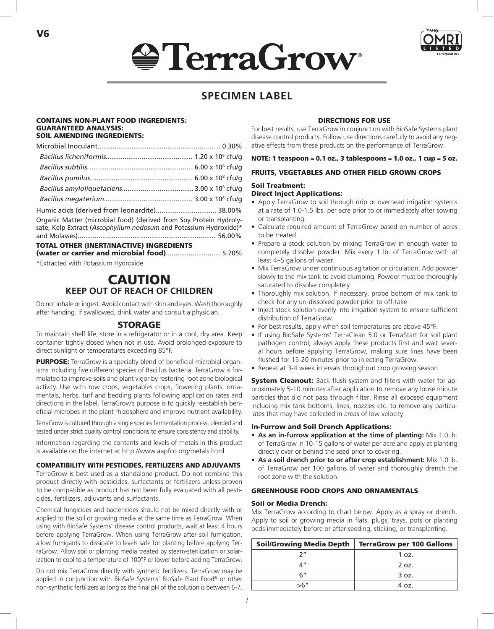# **SerraGrow**



# **SPECIMEN LABEL**

#### CONTAINS NON-PLANT FOOD INGREDIENTS: GUARANTEED ANALYSIS: SOIL AMENDING INGREDIENTS:

V6

| Humic acids (derived from leonardite) 38.00%                                                                                            |
|-----------------------------------------------------------------------------------------------------------------------------------------|
| Organic Matter (microbial food) (derived from Soy Protein Hydroly-<br>sate, Kelp Extract (Ascophyllum nodosum and Potassium Hydroxide)* |
| TOTAL OTHER (INERT/INACTIVE) INGREDIENTS<br>(water or carrier and microbial food) 5.70%                                                 |

\*Extracted with Potassium Hydroxide

# CAUTION **KEEP OUT OF REACH OF CHILDREN**

Do not inhale or ingest. Avoid contact with skin and eyes. Wash thoroughly after handing. If swallowed, drink water and consult a physician.

#### STORAGE

To maintain shelf life, store in a refrigerator or in a cool, dry area. Keep container tightly closed when not in use. Avoid prolonged exposure to direct sunlight or temperatures exceeding 85°F.

**PURPOSE:** TerraGrow is a specialty blend of beneficial microbial organisms including five different species of Bacillus bacteria. TerraGrow is formulated to improve soils and plant vigor by restoring root zone biological activity. Use with row crops, vegetables crops, flowering plants, ornamentals, herbs, turf and bedding plants following application rates and directions in the label. TerraGrow's purpose is to quickly reestablish beneficial microbes in the plant rhizosphere and improve nutrient availability.

TerraGrow is cultured through a single species fermentation process, blended and tested under strict quality control conditions to ensure consistency and stability.

Information regarding the contents and levels of metals in this product is available on the internet at http://www.aapfco.org/metals.html

#### COMPATIBILITY WITH PESTICIDES, FERTILIZERS AND ADJUVANTS

TerraGrow is best used as a standalone product. Do not combine this product directly with pesticides, surfactants or fertilizers unless proven to be compatible as product has not been fully evaluated with all pesticides, fertilizers, adjuvants and surfactants.

Chemical fungicides and bactericides should not be mixed directly with or applied to the soil or growing media at the same time as TerraGrow. When using with BioSafe Systems' disease control products, wait at least 4 hours before applying TerraGrow. When using TerraGrow after soil fumigation, allow fumigants to dissipate to levels safe for planting before applying TerraGrow. Allow soil or planting media treated by steam-sterilization or solarization to cool to a temperature of 100°F or lower before adding TerraGrow.

Do not mix TerraGrow directly with synthetic fertilizers. TerraGrow may be applied in conjunction with BioSafe Systems' BioSafe Plant Food® or other non-synthetic fertilizers as long as the final pH of the solution is between 6-7.

#### DIRECTIONS FOR USE

For best results, use TerraGrow in conjunction with BioSafe Systems plant disease control products. Follow use directions carefully to avoid any negative effects from these products on the performance of TerraGrow.

#### NOTE: 1 teaspoon = 0.1 oz., 3 tablespoons = 1.0 oz., 1 cup = 5 oz.

#### FRUITS, VEGETABLES AND OTHER FIELD GROWN CROPS

#### Soil Treatment:

### Direct Inject Applications:

- Apply TerraGrow to soil through drip or overhead irrigation systems at a rate of 1.0-1.5 lbs. per acre prior to or immediately after sowing or transplanting.
- Calculate required amount of TerraGrow based on number of acres to be treated.
- Prepare a stock solution by mixing TerraGrow in enough water to completely dissolve powder. Mix every 1 lb. of TerraGrow with at least 4–5 gallons of water.
- Mix TerraGrow under continuous agitation or circulation. Add powder slowly to the mix tank to avoid clumping. Powder must be thoroughly saturated to dissolve completely.
- Thoroughly mix solution. If necessary, probe bottom of mix tank to check for any un-dissolved powder prior to off-take.
- Inject stock solution evenly into irrigation system to ensure sufficient distribution of TerraGrow.
- For best results, apply when soil temperatures are above 45°F.
- If using BioSafe Systems' TerraClean 5.0 or TerraStart for soil plant pathogen control, always apply these products first and wait several hours before applying TerraGrow, making sure lines have been flushed for 15-20 minutes prior to injecting TerraGrow.
- Repeat at 3-4 week intervals throughout crop growing season.

System Cleanout: Back flush system and filters with water for approximately 5-10 minutes after application to remove any loose minute particles that did not pass through filter. Rinse all exposed equipment including mix tank bottoms, lines, nozzles etc. to remove any particulates that may have collected in areas of low velocity.

#### In-Furrow and Soil Drench Applications:

- **• As an in-furrow application at the time of planting:** Mix 1.0 lb. of TerraGrow in 10-15 gallons of water per acre and apply at planting directly over or behind the seed prior to covering.
- **• As a soil drench prior to or after crop establishment:** Mix 1.0 lb. of TerraGrow per 100 gallons of water and thoroughly drench the root zone with the solution.

#### GREENHOUSE FOOD CROPS AND ORNAMENTALS

#### Soil or Media Drench:

Mix TerraGrow according to chart below. Apply as a spray or drench. Apply to soil or growing media in flats, plugs, trays, pots or planting beds immediately before or after seeding, sticking, or transplanting.

| Soil/Growing Media Depth | <b>TerraGrow per 100 Gallons</b> |
|--------------------------|----------------------------------|
|                          | 1 oz.                            |
| л"                       | 2 oz.                            |
| ና"                       | 3 oz.                            |
| >6"                      | 4.07.                            |